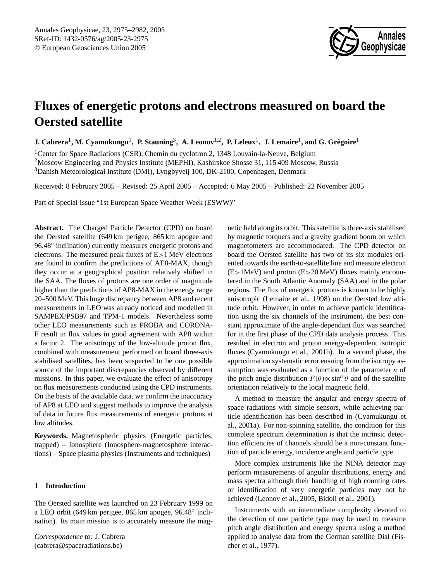

# **Fluxes of energetic protons and electrons measured on board the Oersted satellite**

 ${\bf J.}$  Cabrera<sup>1</sup>, M. Cyamukungu<sup>1</sup>, P. Stauning<sup>3</sup>, A. Leonov<sup>1,2</sup>, P. Leleux<sup>1</sup>, J. Lemaire<sup>1</sup>, and G. Grégoire<sup>1</sup>

<sup>1</sup>Center for Space Radiations (CSR), Chemin du cyclotron 2, 1348 Louvain-la-Neuve, Belgium <sup>2</sup>Moscow Engineering and Physics Institute (MEPHI), Kashirskoe Shosse 31, 115 409 Moscow, Russia <sup>3</sup>Danish Meteorological Institute (DMI), Lyngbyveij 100, DK-2100, Copenhagen, Denmark

Received: 8 February 2005 – Revised: 25 April 2005 – Accepted: 6 May 2005 – Published: 22 November 2005

Part of Special Issue "1st European Space Weather Week (ESWW)"

**Abstract.** The Charged Particle Detector (CPD) on board the Oersted satellite (649 km perigee, 865 km apogee and 96.48◦ inclination) currently measures energetic protons and electrons. The measured peak fluxes of E>1 MeV electrons are found to confirm the predictions of AE8-MAX, though they occur at a geographical position relatively shifted in the SAA. The fluxes of protons are one order of magnitude higher than the predictions of AP8-MAX in the energy range 20–500 MeV. This huge discrepancy between AP8 and recent measurements in LEO was already noticed and modelled in SAMPEX/PSB97 and TPM-1 models. Nevertheless some other LEO measurements such as PROBA and CORONA-F result in flux values in good agreement with AP8 within a factor 2. The anisotropy of the low-altitude proton flux, combined with measurement performed on board three-axis stabilised satellites, has been suspected to be one possible source of the important discrepancies observed by different missions. In this paper, we evaluate the effect of anisotropy on flux measurements conducted using the CPD instruments. On the basis of the available data, we confirm the inaccuracy of AP8 at LEO and suggest methods to improve the analysis of data in future flux measurements of energetic protons at low altitudes.

**Keywords.** Magnetospheric physics (Energetic particles, trapped) – Ionosphere (Ionosphere-magnetosphere interactions) – Space plasma physics (Instruments and techniques)

### **1 Introduction**

The Oersted satellite was launched on 23 February 1999 on a LEO orbit (649 km perigee, 865 km apogee, 96.48◦ inclination). Its main mission is to accurately measure the magnetic field along its orbit. This satellite is three-axis stabilised by magnetic torquers and a gravity gradient boom on which magnetometers are accommodated. The CPD detector on board the Oersted satellite has two of its six modules oriented towards the earth-to-satellite line and measure electron (E>1MeV) and proton (E>20 MeV) fluxes mainly encountered in the South Atlantic Anomaly (SAA) and in the polar regions. The flux of energetic protons is known to be highly anisotropic (Lemaire et al., 1998) on the Oersted low altitude orbit. However, in order to achieve particle identification using the six channels of the instrument, the best constant approximate of the angle-dependant flux was searched for in the first phase of the CPD data analysis process. This resulted in electron and proton energy-dependent isotropic fluxes (Cyamukungu et al., 2001b). In a second phase, the approximation systematic error ensuing from the isotropy assumption was evaluated as a function of the parameter  $n$  of the pitch angle distribution  $F(\theta) \propto \sin^n \theta$  and of the satellite orientation relatively to the local magnetic field.

A method to measure the angular and energy spectra of space radiations with simple sensors, while achieving particle identification has been described in (Cyamukungu et al., 2001a). For non-spinning satellite, the condition for this complete spectrum determination is that the intrinsic detection efficiencies of channels should be a non-constant function of particle energy, incidence angle and particle type.

More complex instruments like the NINA detector may perform measurements of angular distributions, energy and mass spectra although their handling of high counting rates or identification of very energetic particles may not be achieved (Leonov et al., 2005, Bidoli et al., 2001).

Instruments with an intermediate complexity devoted to the detection of one particle type may be used to measure pitch angle distribution and energy spectra using a method applied to analyse data from the German satellite Dial (Fischer et al., 1977).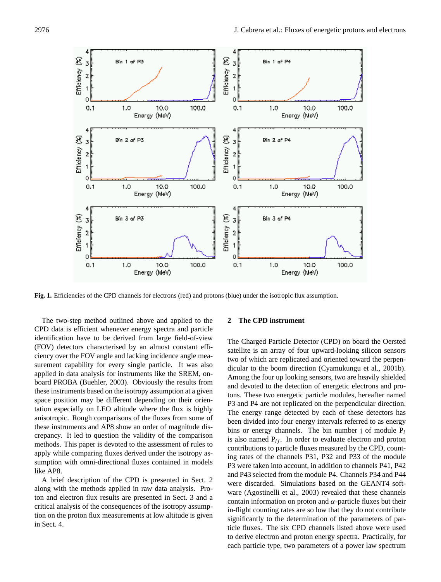

**Fig. 1.** Efficiencies of the CPD channels for electrons (red) and protons (blue) under the isotropic flux assumption.

The two-step method outlined above and applied to the CPD data is efficient whenever energy spectra and particle identification have to be derived from large field-of-view (FOV) detectors characterised by an almost constant efficiency over the FOV angle and lacking incidence angle measurement capability for every single particle. It was also applied in data analysis for instruments like the SREM, onboard PROBA (Buehler, 2003). Obviously the results from these instruments based on the isotropy assumption at a given space position may be different depending on their orientation especially on LEO altitude where the flux is highly anisotropic. Rough comparisons of the fluxes from some of these instruments and AP8 show an order of magnitude discrepancy. It led to question the validity of the comparison methods. This paper is devoted to the assessment of rules to apply while comparing fluxes derived under the isotropy assumption with omni-directional fluxes contained in models like AP8.

A brief description of the CPD is presented in Sect. 2 along with the methods applied in raw data analysis. Proton and electron flux results are presented in Sect. 3 and a critical analysis of the consequences of the isotropy assumption on the proton flux measurements at low altitude is given in Sect. 4.

# **2 The CPD instrument**

The Charged Particle Detector (CPD) on board the Oersted satellite is an array of four upward-looking silicon sensors two of which are replicated and oriented toward the perpendicular to the boom direction (Cyamukungu et al., 2001b). Among the four up looking sensors, two are heavily shielded and devoted to the detection of energetic electrons and protons. These two energetic particle modules, hereafter named P3 and P4 are not replicated on the perpendicular direction. The energy range detected by each of these detectors has been divided into four energy intervals referred to as energy bins or energy channels. The bin number j of module  $P_i$ is also named  $P_{ij}$ . In order to evaluate electron and proton contributions to particle fluxes measured by the CPD, counting rates of the channels P31, P32 and P33 of the module P3 were taken into account, in addition to channels P41, P42 and P43 selected from the module P4. Channels P34 and P44 were discarded. Simulations based on the GEANT4 software (Agostinelli et al., 2003) revealed that these channels contain information on proton and  $\alpha$ -particle fluxes but their in-flight counting rates are so low that they do not contribute significantly to the determination of the parameters of particle fluxes. The six CPD channels listed above were used to derive electron and proton energy spectra. Practically, for each particle type, two parameters of a power law spectrum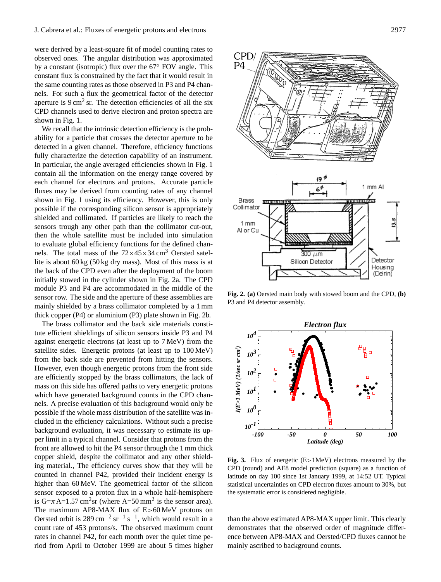were derived by a least-square fit of model counting rates to observed ones. The angular distribution was approximated by a constant (isotropic) flux over the 67◦ FOV angle. This constant flux is constrained by the fact that it would result in the same counting rates as those observed in P3 and P4 channels. For such a flux the geometrical factor of the detector aperture is  $9 \text{ cm}^2$  sr. The detection efficiencies of all the six CPD channels used to derive electron and proton spectra are shown in Fig. 1.

We recall that the intrinsic detection efficiency is the probability for a particle that crosses the detector aperture to be detected in a given channel. Therefore, efficiency functions fully characterize the detection capability of an instrument. In particular, the angle averaged efficiencies shown in Fig. 1 contain all the information on the energy range covered by each channel for electrons and protons. Accurate particle fluxes may be derived from counting rates of any channel shown in Fig. 1 using its efficiency. However, this is only possible if the corresponding silicon sensor is appropriately shielded and collimated. If particles are likely to reach the sensors trough any other path than the collimator cut-out, then the whole satellite must be included into simulation to evaluate global efficiency functions for the defined channels. The total mass of the  $72\times45\times34$  cm<sup>3</sup> Oersted satellite is about 60 kg (50 kg dry mass). Most of this mass is at the back of the CPD even after the deployment of the boom initially stowed in the cylinder shown in Fig. 2a. The CPD module P3 and P4 are accommodated in the middle of the sensor row. The side and the aperture of these assemblies are mainly shielded by a brass collimator completed by a 1 mm thick copper (P4) or aluminium (P3) plate shown in Fig. 2b.

The brass collimator and the back side materials constitute efficient shieldings of silicon sensors inside P3 and P4 against energetic electrons (at least up to 7 MeV) from the satellite sides. Energetic protons (at least up to 100 MeV) from the back side are prevented from hitting the sensors. However, even though energetic protons from the front side are efficiently stopped by the brass collimators, the lack of mass on this side has offered paths to very energetic protons which have generated background counts in the CPD channels. A precise evaluation of this background would only be possible if the whole mass distribution of the satellite was included in the efficiency calculations. Without such a precise background evaluation, it was necessary to estimate its upper limit in a typical channel. Consider that protons from the front are allowed to hit the P4 sensor through the 1 mm thick copper shield, despite the collimator and any other shielding material., The efficiency curves show that they will be counted in channel P42, provided their incident energy is higher than 60 MeV. The geometrical factor of the silicon sensor exposed to a proton flux in a whole half-hemisphere is  $G = \pi A = 1.57$  cm<sup>2</sup>sr (where  $A = 50$  mm<sup>2</sup> is the sensor area). The maximum AP8-MAX flux of E>60 MeV protons on Oersted orbit is 289 cm<sup>-2</sup> sr<sup>-1</sup> s<sup>-1</sup>, which would result in a count rate of 453 protons/s. The observed maximum count rates in channel P42, for each month over the quiet time period from April to October 1999 are about 5 times higher



**Fig. 2. (a)** Oersted main body with stowed boom and the CPD, **(b)** P3 and P4 detector assembly.



Fig. 3. Flux of energetic (E>1MeV) electrons measured by the CPD (round) and AE8 model prediction (square) as a function of latitude on day 100 since 1st January 1999, at 14:52 UT. Typical statistical uncertainties on CPD electron fluxes amount to 30%, but the systematic error is considered negligible.

than the above estimated AP8-MAX upper limit. This clearly demonstrates that the observed order of magnitude difference between AP8-MAX and Oersted/CPD fluxes cannot be mainly ascribed to background counts.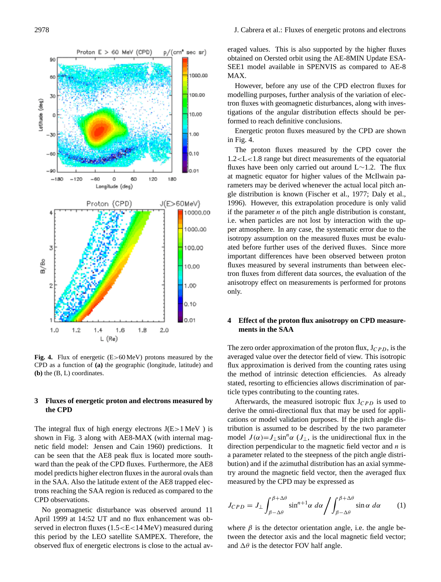

**Fig. 4.** Flux of energetic (E>60 MeV) protons measured by the CPD as a function of **(a)** the geographic (longitude, latitude) and **(b)** the (B, L) coordinates.

#### **3 Fluxes of energetic proton and electrons measured by the CPD**

The integral flux of high energy electrons  $J(E>1 MeV)$  is shown in Fig. 3 along with AE8-MAX (with internal magnetic field model: Jensen and Cain 1960) predictions. It can be seen that the AE8 peak flux is located more southward than the peak of the CPD fluxes. Furthermore, the AE8 model predicts higher electron fluxes in the auroral ovals than in the SAA. Also the latitude extent of the AE8 trapped electrons reaching the SAA region is reduced as compared to the CPD observations.

No geomagnetic disturbance was observed around 11 April 1999 at 14:52 UT and no flux enhancement was observed in electron fluxes (1.5 < E < 14 MeV) measured during this period by the LEO satellite SAMPEX. Therefore, the observed flux of energetic electrons is close to the actual averaged values. This is also supported by the higher fluxes obtained on Oersted orbit using the AE-8MIN Update ESA-SEE1 model available in SPENVIS as compared to AE-8 MAX.

However, before any use of the CPD electron fluxes for modelling purposes, further analysis of the variation of electron fluxes with geomagnetic disturbances, along with investigations of the angular distribution effects should be performed to reach definitive conclusions.

Energetic proton fluxes measured by the CPD are shown in Fig. 4.

The proton fluxes measured by the CPD cover the 1.2<L<1.8 range but direct measurements of the equatorial fluxes have been only carried out around L∼1.2. The flux at magnetic equator for higher values of the McIlwain parameters may be derived whenever the actual local pitch angle distribution is known (Fischer et al., 1977; Daly et al., 1996). However, this extrapolation procedure is only valid if the parameter  $n$  of the pitch angle distribution is constant, i.e. when particles are not lost by interaction with the upper atmosphere. In any case, the systematic error due to the isotropy assumption on the measured fluxes must be evaluated before further uses of the derived fluxes. Since more important differences have been observed between proton fluxes measured by several instruments than between electron fluxes from different data sources, the evaluation of the anisotropy effect on measurements is performed for protons only.

# **4 Effect of the proton flux anisotropy on CPD measurements in the SAA**

The zero order approximation of the proton flux,  $J_{CPD}$ , is the averaged value over the detector field of view. This isotropic flux approximation is derived from the counting rates using the method of intrinsic detection efficiencies. As already stated, resorting to efficiencies allows discrimination of particle types contributing to the counting rates.

Afterwards, the measured isotropic flux  $J_{CPD}$  is used to derive the omni-directional flux that may be used for applications or model validation purposes. If the pitch angle distribution is assumed to be described by the two parameter model  $J(\alpha) = J_{\perp} \sin^n \alpha$  ( $J_{\perp}$ , is the unidirectional flux in the direction perpendicular to the magnetic field vector and  $n$  is a parameter related to the steepness of the pitch angle distribution) and if the azimuthal distribution has an axial symmetry around the magnetic field vector, then the averaged flux measured by the CPD may be expressed as

$$
J_{CPD} = J_{\perp} \int_{\beta - \Delta\theta}^{\beta + \Delta\theta} \sin^{n+1}\alpha \, d\alpha \Bigg/ \int_{\beta - \Delta\theta}^{\beta + \Delta\theta} \sin\alpha \, d\alpha \qquad (1)
$$

where  $\beta$  is the detector orientation angle, i.e. the angle between the detector axis and the local magnetic field vector; and  $\Delta\theta$  is the detector FOV half angle.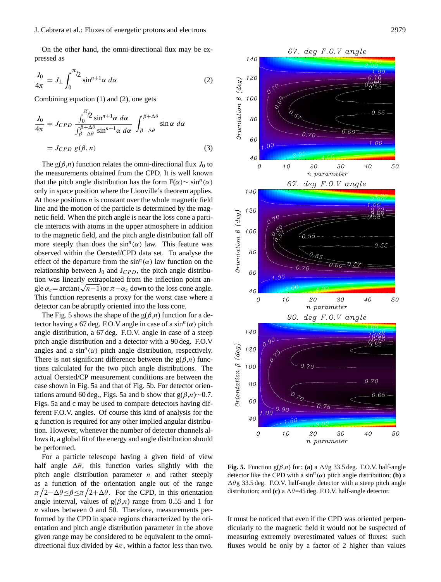On the other hand, the omni-directional flux may be expressed as

$$
\frac{J_0}{4\pi} = J_\perp \int_0^{\pi/2} \sin^{n+1} \alpha \, d\alpha \tag{2}
$$

Combining equation (1) and (2), one gets

$$
\frac{J_0}{4\pi} = J_{CPD} \frac{\int_0^{\pi/2} \sin^{n+1}\alpha \, d\alpha}{\int_{\beta-\Delta\theta}^{\beta+\Delta\theta} \sin^{n+1}\alpha \, d\alpha} \int_{\beta-\Delta\theta}^{\beta+\Delta\theta} \sin \alpha \, d\alpha
$$

$$
= J_{CPD} g(\beta, n) \tag{3}
$$

The  $g(\beta,n)$  function relates the omni-directional flux  $J_0$  to the measurements obtained from the CPD. It is well known that the pitch angle distribution has the form  $F(\alpha) \sim \sin^n(\alpha)$ only in space position where the Liouville's theorem applies. At those positions  $n$  is constant over the whole magnetic field line and the motion of the particle is determined by the magnetic field. When the pitch angle is near the loss cone a particle interacts with atoms in the upper atmosphere in addition to the magnetic field, and the pitch angle distribution fall off more steeply than does the  $sin^n(\alpha)$  law. This feature was observed within the Oersted/CPD data set. To analyse the effect of the departure from the  $sin^n(\alpha)$  law function on the relationship between  $J_0$  and  $J_{CPD}$ , the pitch angle distribution was linearly extrapolated from the inflection point angle  $\alpha_c = \arctan(\sqrt{n-1})$  or  $\pi - \alpha_c$  down to the loss cone angle. This function represents a proxy for the worst case where a detector can be abruptly oriented into the loss cone.

The Fig. 5 shows the shape of the  $g(\beta,n)$  function for a detector having a 67 deg. F.O.V angle in case of a  $\sin^n(\alpha)$  pitch angle distribution, a 67 deg. F.O.V. angle in case of a steep pitch angle distribution and a detector with a 90 deg. F.O.V angles and a  $\sin^n(\alpha)$  pitch angle distribution, respectively. There is not significant difference between the  $g(\beta,n)$  functions calculated for the two pitch angle distributions. The actual Oersted/CP measurement conditions are between the case shown in Fig. 5a and that of Fig. 5b. For detector orientations around 60 deg., Figs. 5a and b show that  $g(\beta,n)$ ∼0.7. Figs. 5a and c may be used to compare detectors having different F.O.V. angles. Of course this kind of analysis for the g function is required for any other implied angular distribution. However, whenever the number of detector channels allows it, a global fit of the energy and angle distribution should be performed.

For a particle telescope having a given field of view half angle  $\Delta\theta$ , this function varies slightly with the pitch angle distribution parameter  $n$  and rather steeply as a function of the orientation angle out of the range  $\pi/2-\Delta\theta \leq \beta \leq \pi/2+\Delta\theta$ . For the CPD, in this orientation angle interval, values of  $g(\beta,n)$  range from 0.55 and 1 for n values between 0 and 50. Therefore, measurements performed by the CPD in space regions characterized by the orientation and pitch angle distribution parameter in the above given range may be considered to be equivalent to the omnidirectional flux divided by  $4\pi$ , within a factor less than two.



**Fig. 5.** Function  $g(\beta,n)$  for: **(a)** a  $\Delta \theta g$  33.5 deg. F.O.V. half-angle detector like the CPD with a  $\sin^n(\alpha)$  pitch angle distribution; **(b)** a  $\Delta \theta$ g 33.5 deg. F.O.V. half-angle detector with a steep pitch angle distribution; and **(c)** a  $\Delta\theta$ =45 deg. F.O.V. half-angle detector.

It must be noticed that even if the CPD was oriented perpendicularly to the magnetic field it would not be suspected of measuring extremely overestimated values of fluxes: such fluxes would be only by a factor of 2 higher than values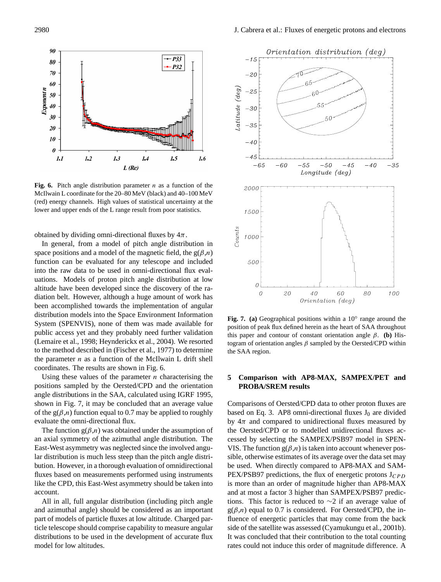

**Fig. 6.** Pitch angle distribution parameter  $n$  as a function of the McIlwain L coordinate for the 20–80 MeV (black) and 40–100 MeV (red) energy channels. High values of statistical uncertainty at the lower and upper ends of the L range result from poor statistics.

 $L$  (Re)

obtained by dividing omni-directional fluxes by  $4\pi$ .

In general, from a model of pitch angle distribution in space positions and a model of the magnetic field, the  $g(\beta,n)$ function can be evaluated for any telescope and included into the raw data to be used in omni-directional flux evaluations. Models of proton pitch angle distribution at low altitude have been developed since the discovery of the radiation belt. However, although a huge amount of work has been accomplished towards the implementation of angular distribution models into the Space Environment Information System (SPENVIS), none of them was made available for public access yet and they probably need further validation (Lemaire et al., 1998; Heynderickx et al., 2004). We resorted to the method described in (Fischer et al., 1977) to determine the parameter  $n$  as a function of the McIlwain L drift shell coordinates. The results are shown in Fig. 6.

Using these values of the parameter  $n$  characterising the positions sampled by the Oersted/CPD and the orientation angle distributions in the SAA, calculated using IGRF 1995, shown in Fig. 7, it may be concluded that an average value of the  $g(\beta,n)$  function equal to 0.7 may be applied to roughly evaluate the omni-directional flux.

The function  $g(\beta,n)$  was obtained under the assumption of an axial symmetry of the azimuthal angle distribution. The East-West asymmetry was neglected since the involved angular distribution is much less steep than the pitch angle distribution. However, in a thorough evaluation of omnidirectional fluxes based on measurements performed using instruments like the CPD, this East-West asymmetry should be taken into account.

All in all, full angular distribution (including pitch angle and azimuthal angle) should be considered as an important part of models of particle fluxes at low altitude. Charged particle telescope should comprise capability to measure angular distributions to be used in the development of accurate flux model for low altitudes.



Fig. 7. (a) Geographical positions within a 10° range around the position of peak flux defined herein as the heart of SAA throughout this paper and contour of constant orientation angle β. **(b)** Histogram of orientation angles  $\beta$  sampled by the Oersted/CPD within the SAA region.

#### **5 Comparison with AP8-MAX, SAMPEX/PET and PROBA/SREM results**

Comparisons of Oersted/CPD data to other proton fluxes are based on Eq. 3. AP8 omni-directional fluxes  $J_0$  are divided by  $4\pi$  and compared to unidirectional fluxes measured by the Oersted/CPD or to modelled unidirectional fluxes accessed by selecting the SAMPEX/PSB97 model in SPEN-VIS. The function  $g(\beta,n)$  is taken into account whenever possible, otherwise estimates of its average over the data set may be used. When directly compared to AP8-MAX and SAM-PEX/PSB97 predictions, the flux of energetic protons  $J_{CPD}$ is more than an order of magnitude higher than AP8-MAX and at most a factor 3 higher than SAMPEX/PSB97 predictions. This factor is reduced to ∼2 if an average value of  $g(\beta,n)$  equal to 0.7 is considered. For Oersted/CPD, the influence of energetic particles that may come from the back side of the satellite was assessed (Cyamukungu et al., 2001b). It was concluded that their contribution to the total counting rates could not induce this order of magnitude difference. A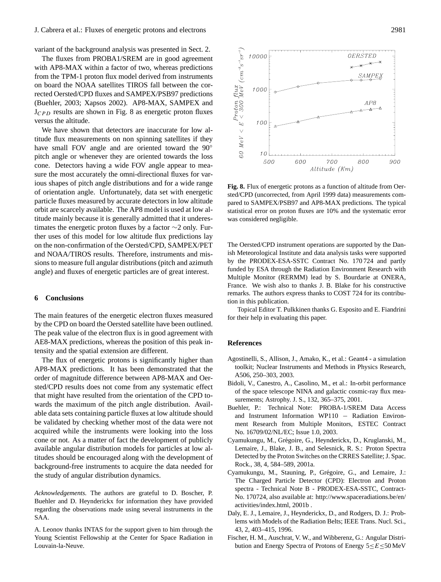# J. Cabrera et al.: Fluxes of energetic protons and electrons 2981

variant of the background analysis was presented in Sect. 2.

The fluxes from PROBA1/SREM are in good agreement with AP8-MAX within a factor of two, whereas predictions from the TPM-1 proton flux model derived from instruments on board the NOAA satellites TIROS fall between the corrected Oersted/CPD fluxes and SAMPEX/PSB97 predictions (Buehler, 2003; Xapsos 2002). AP8-MAX, SAMPEX and  $J_{CPD}$  results are shown in Fig. 8 as energetic proton fluxes versus the altitude.

We have shown that detectors are inaccurate for low altitude flux measurements on non spinning satellites if they have small FOV angle and are oriented toward the 90° pitch angle or whenever they are oriented towards the loss cone. Detectors having a wide FOV angle appear to measure the most accurately the omni-directional fluxes for various shapes of pitch angle distributions and for a wide range of orientation angle. Unfortunately, data set with energetic particle fluxes measured by accurate detectors in low altitude orbit are scarcely available. The AP8 model is used at low altitude mainly because it is generally admitted that it underestimates the energetic proton fluxes by a factor ∼2 only. Further uses of this model for low altitude flux predictions lay on the non-confirmation of the Oersted/CPD, SAMPEX/PET and NOAA/TIROS results. Therefore, instruments and missions to measure full angular distributions (pitch and azimuth angle) and fluxes of energetic particles are of great interest.

#### **6 Conclusions**

The main features of the energetic electron fluxes measured by the CPD on board the Oersted satellite have been outlined. The peak value of the electron flux is in good agreement with AE8-MAX predictions, whereas the position of this peak intensity and the spatial extension are different.

The flux of energetic protons is significantly higher than AP8-MAX predictions. It has been demonstrated that the order of magnitude difference between AP8-MAX and Oersted/CPD results does not come from any systematic effect that might have resulted from the orientation of the CPD towards the maximum of the pitch angle distribution. Available data sets containing particle fluxes at low altitude should be validated by checking whether most of the data were not acquired while the instruments were looking into the loss cone or not. As a matter of fact the development of publicly available angular distribution models for particles at low altitudes should be encouraged along with the development of background-free instruments to acquire the data needed for the study of angular distribution dynamics.

*Acknowledgements.* The authors are grateful to D. Boscher, P. Buehler and D. Heynderickx for information they have provided regarding the observations made using several instruments in the SAA.

A. Leonov thanks INTAS for the support given to him through the Young Scientist Fellowship at the Center for Space Radiation in Louvain-la-Neuve.

**Fig. 8.** Flux of energetic protons as a function of altitude from Oersted/CPD (uncorrected, from April 1999 data) measurements compared to SAMPEX/PSB97 and AP8-MAX predictions. The typical statistical error on proton fluxes are 10% and the systematic error was considered negligible.

The Oersted/CPD instrument operations are supported by the Danish Meteorological Institute and data analysis tasks were supported by the PRODEX-ESA-SSTC Contract No. 170 724 and partly funded by ESA through the Radiation Environment Research with Multiple Monitor (RERMM) lead by S. Bourdarie at ONERA, France. We wish also to thanks J. B. Blake for his constructive remarks. The authors express thanks to COST 724 for its contribution in this publication.

Topical Editor T. Pulkkinen thanks G. Esposito and E. Fiandrini for their help in evaluating this paper.

#### **References**

- Agostinelli, S., Allison, J., Amako, K., et al.: Geant4 a simulation toolkit; Nuclear Instruments and Methods in Physics Research, A506, 250–303, 2003.
- Bidoli, V., Canestro, A., Casolino, M., et al.: In-orbit performance of the space telescope NINA and galactic cosmic-ray flux measurements; Astrophy. J. S., 132, 365–375, 2001.
- Buehler, P.: Technical Note: PROBA-1/SREM Data Access and Instrument Information WP110 − Radiation Environment Research from Multiple Monitors, ESTEC Contract No. 16709/02/NL/EC; Issue 1.0, 2003.
- Cyamukungu, M., Grégoire, G., Heynderickx, D., Kruglanski, M., Lemaire, J., Blake, J. B., and Selesnick, R. S.: Proton Spectra Detected by the Proton Switches on the CRRES Satellite; J. Spac. Rock., 38, 4, 584–589, 2001a.
- Cyamukungu, M., Stauning, P., Grégoire, G., and Lemaire, J.: The Charged Particle Detector (CPD): Electron and Proton spectra - Technical Note B - PRODEX-ESA-SSTC, Contract-No. 170724, also available at: http://www.spaceradiations.be/en/ activities/index.html, 2001b .
- Daly, E. J., Lemaire, J., Heynderickx, D., and Rodgers, D. J.: Problems with Models of the Radiation Belts; IEEE Trans. Nucl. Sci., 43, 2, 403–415, 1996.
- Fischer, H. M., Auschrat, V. W., and Wibberenz, G.: Angular Distribution and Energy Spectra of Protons of Energy 5≤E≤50 MeV